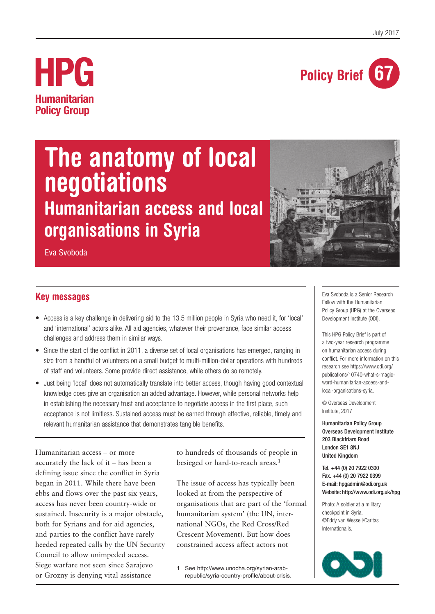

# **HPG Humanitarian Policy Group**

# **The anatomy of local negotiations Humanitarian access and local organisations in Syria**

Eva Svoboda



- Access is a key challenge in delivering aid to the 13.5 million people in Syria who need it, for 'local' and 'international' actors alike. All aid agencies, whatever their provenance, face similar access challenges and address them in similar ways.
- Since the start of the conflict in 2011, a diverse set of local organisations has emerged, ranging in size from a handful of volunteers on a small budget to multi-million-dollar operations with hundreds of staff and volunteers. Some provide direct assistance, while others do so remotely.
- Just being 'local' does not automatically translate into better access, though having good contextual knowledge does give an organisation an added advantage. However, while personal networks help in establishing the necessary trust and acceptance to negotiate access in the first place, such acceptance is not limitless. Sustained access must be earned through effective, reliable, timely and relevant humanitarian assistance that demonstrates tangible benefits.

Humanitarian access – or more accurately the lack of it – has been a defining issue since the conflict in Syria began in 2011. While there have been ebbs and flows over the past six years, access has never been country-wide or sustained. Insecurity is a major obstacle, both for Syrians and for aid agencies, and parties to the conflict have rarely heeded repeated calls by the UN Security Council to allow unimpeded access. Siege warfare not seen since Sarajevo or Grozny is denying vital assistance

to hundreds of thousands of people in besieged or hard-to-reach areas.<sup>1</sup>

The issue of access has typically been looked at from the perspective of organisations that are part of the 'formal humanitarian system' (the UN, international NGOs, the Red Cross/Red Crescent Movement). But how does constrained access affect actors not

1 See http://www.unocha.org/syrian-arabrepublic/syria-country-profile/about-crisis. Eva Svoboda is a Senior Research Fellow with the Humanitarian Policy Group (HPG) at the Overseas Development Institute (ODI).

This HPG Policy Brief is part of a two-year research programme on humanitarian access during conflict. For more information on this research see https://www.odi.org/ publications/10740-what-s-magicword-humanitarian-access-andlocal-organisations-syria.

© Overseas Development Institute, 2017

Humanitarian Policy Group Overseas Development Institute 203 Blackfriars Road London SE1 8NJ United Kingdom

Tel. +44 (0) 20 7922 0300 Fax. +44 (0) 20 7922 0399 E-mail: hpgadmin@odi.org.uk Website: http://www.odi.org.uk/hpg

Photo: A soldier at a military checkpoint in Syria. ©Eddy van Wessell/Caritas Internationalis.

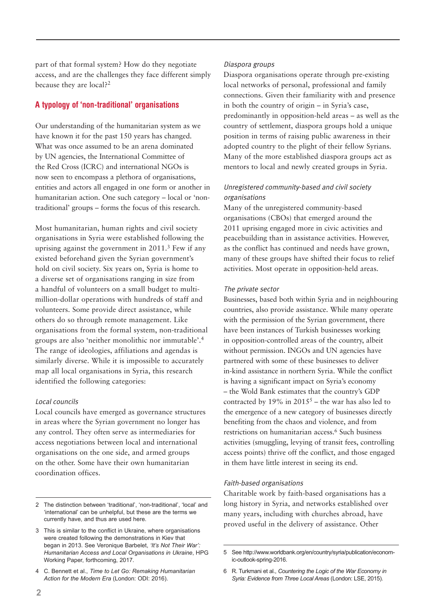part of that formal system? How do they negotiate access, and are the challenges they face different simply because they are local?<sup>2</sup>

# **A typology of 'non-traditional' organisations**

Our understanding of the humanitarian system as we have known it for the past 150 years has changed. What was once assumed to be an arena dominated by UN agencies, the International Committee of the Red Cross (ICRC) and international NGOs is now seen to encompass a plethora of organisations, entities and actors all engaged in one form or another in humanitarian action. One such category – local or 'nontraditional' groups – forms the focus of this research.

Most humanitarian, human rights and civil society organisations in Syria were established following the uprising against the government in 2011.3 Few if any existed beforehand given the Syrian government's hold on civil society. Six years on, Syria is home to a diverse set of organisations ranging in size from a handful of volunteers on a small budget to multimillion-dollar operations with hundreds of staff and volunteers. Some provide direct assistance, while others do so through remote management. Like organisations from the formal system, non-traditional groups are also 'neither monolithic nor immutable'.4 The range of ideologies, affiliations and agendas is similarly diverse. While it is impossible to accurately map all local organisations in Syria, this research identified the following categories:

#### Local councils

Local councils have emerged as governance structures in areas where the Syrian government no longer has any control. They often serve as intermediaries for access negotiations between local and international organisations on the one side, and armed groups on the other. Some have their own humanitarian coordination offices.

#### Diaspora groups

Diaspora organisations operate through pre-existing local networks of personal, professional and family connections. Given their familiarity with and presence in both the country of origin – in Syria's case, predominantly in opposition-held areas – as well as the country of settlement, diaspora groups hold a unique position in terms of raising public awareness in their adopted country to the plight of their fellow Syrians. Many of the more established diaspora groups act as mentors to local and newly created groups in Syria.

# Unregistered community-based and civil society organisations

Many of the unregistered community-based organisations (CBOs) that emerged around the 2011 uprising engaged more in civic activities and peacebuilding than in assistance activities. However, as the conflict has continued and needs have grown, many of these groups have shifted their focus to relief activities. Most operate in opposition-held areas.

#### The private sector

Businesses, based both within Syria and in neighbouring countries, also provide assistance. While many operate with the permission of the Syrian government, there have been instances of Turkish businesses working in opposition-controlled areas of the country, albeit without permission. INGOs and UN agencies have partnered with some of these businesses to deliver in-kind assistance in northern Syria. While the conflict is having a significant impact on Syria's economy – the Wold Bank estimates that the country's GDP contracted by 19% in  $2015^5$  – the war has also led to the emergence of a new category of businesses directly benefiting from the chaos and violence, and from restrictions on humanitarian access.<sup>6</sup> Such business activities (smuggling, levying of transit fees, controlling access points) thrive off the conflict, and those engaged in them have little interest in seeing its end.

#### Faith-based organisations

Charitable work by faith-based organisations has a long history in Syria, and networks established over many years, including with churches abroad, have proved useful in the delivery of assistance. Other

<sup>2</sup> The distinction between 'traditional', 'non-traditional', 'local' and 'international' can be unhelpful, but these are the terms we currently have, and thus are used here.

<sup>3</sup> This is similar to the conflict in Ukraine, where organisations were created following the demonstrations in Kiev that began in 2013. See Veronique Barbelet, *'It's Not Their War': Humanitarian Access and Local Organisations in Ukraine*, HPG Working Paper, forthcoming, 2017.

<sup>4</sup> C. Bennett et al., *Time to Let Go: Remaking Humanitarian Action for the Modern Era* (London: ODI: 2016).

<sup>5</sup> See http://www.worldbank.org/en/country/syria/publication/economic-outlook-spring-2016.

<sup>6</sup> R. Turkmani et al., *Countering the Logic of the War Economy in Syria: Evidence from Three Local Areas* (London: LSE, 2015).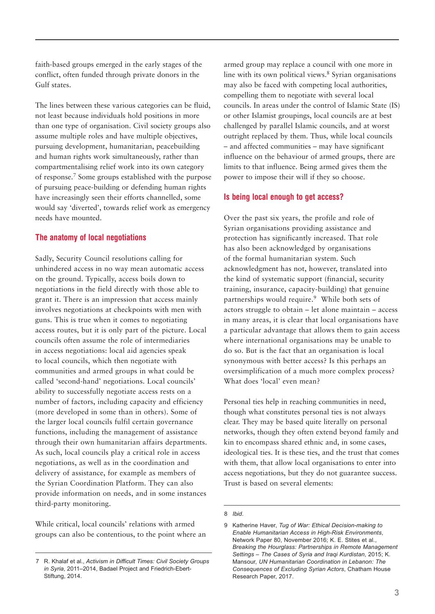faith-based groups emerged in the early stages of the conflict, often funded through private donors in the Gulf states.

The lines between these various categories can be fluid, not least because individuals hold positions in more than one type of organisation. Civil society groups also assume multiple roles and have multiple objectives, pursuing development, humanitarian, peacebuilding and human rights work simultaneously, rather than compartmentalising relief work into its own category of response.7 Some groups established with the purpose of pursuing peace-building or defending human rights have increasingly seen their efforts channelled, some would say 'diverted', towards relief work as emergency needs have mounted.

## **The anatomy of local negotiations**

Sadly, Security Council resolutions calling for unhindered access in no way mean automatic access on the ground. Typically, access boils down to negotiations in the field directly with those able to grant it. There is an impression that access mainly involves negotiations at checkpoints with men with guns. This is true when it comes to negotiating access routes, but it is only part of the picture. Local councils often assume the role of intermediaries in access negotiations: local aid agencies speak to local councils, which then negotiate with communities and armed groups in what could be called 'second-hand' negotiations. Local councils' ability to successfully negotiate access rests on a number of factors, including capacity and efficiency (more developed in some than in others). Some of the larger local councils fulfil certain governance functions, including the management of assistance through their own humanitarian affairs departments. As such, local councils play a critical role in access negotiations, as well as in the coordination and delivery of assistance, for example as members of the Syrian Coordination Platform. They can also provide information on needs, and in some instances third-party monitoring.

While critical, local councils' relations with armed groups can also be contentious, to the point where an

armed group may replace a council with one more in line with its own political views.<sup>8</sup> Syrian organisations may also be faced with competing local authorities, compelling them to negotiate with several local councils. In areas under the control of Islamic State (IS) or other Islamist groupings, local councils are at best challenged by parallel Islamic councils, and at worst outright replaced by them. Thus, while local councils – and affected communities – may have significant influence on the behaviour of armed groups, there are limits to that influence. Being armed gives them the power to impose their will if they so choose.

## **Is being local enough to get access?**

Over the past six years, the profile and role of Syrian organisations providing assistance and protection has significantly increased. That role has also been acknowledged by organisations of the formal humanitarian system. Such acknowledgment has not, however, translated into the kind of systematic support (financial, security training, insurance, capacity-building) that genuine partnerships would require.9 While both sets of actors struggle to obtain – let alone maintain – access in many areas, it is clear that local organisations have a particular advantage that allows them to gain access where international organisations may be unable to do so. But is the fact that an organisation is local synonymous with better access? Is this perhaps an oversimplification of a much more complex process? What does 'local' even mean?

Personal ties help in reaching communities in need, though what constitutes personal ties is not always clear. They may be based quite literally on personal networks, though they often extend beyond family and kin to encompass shared ethnic and, in some cases, ideological ties. It is these ties, and the trust that comes with them, that allow local organisations to enter into access negotiations, but they do not guarantee success. Trust is based on several elements:

<sup>7</sup> R. Khalaf et al., *Activism in Difficult Times: Civil Society Groups in Syria*, 2011–2014, Badael Project and Friedrich-Ebert-Stiftung, 2014.

<sup>8</sup> *Ibid*.

<sup>9</sup> Katherine Haver, *Tug of War: Ethical Decision-making to Enable Humanitarian Access in High-Risk Environments*, Network Paper 80, November 2016; K. E. Stites et al., *Breaking the Hourglass: Partnerships in Remote Management Settings – The Cases of Syria and Iraqi Kurdistan*, 2015; K. Mansour, *UN Humanitarian Coordination in Lebanon: The Consequences of Excluding Syrian Actors*, Chatham House Research Paper, 2017.